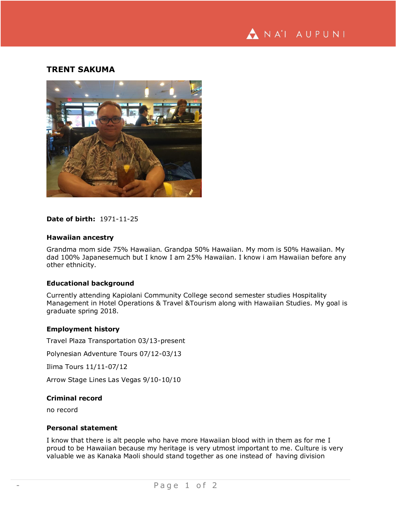

## **TRENT SAKUMA**



### **Date of birth:** 1971-11-25

### **Hawaiian ancestry**

Grandma mom side 75% Hawaiian. Grandpa 50% Hawaiian. My mom is 50% Hawaiian. My dad 100% Japanesemuch but I know I am 25% Hawaiian. I know i am Hawaiian before any other ethnicity.

### **Educational background**

Currently attending Kapiolani Community College second semester studies Hospitality Management in Hotel Operations & Travel &Tourism along with Hawaiian Studies. My goal is graduate spring 2018.

# **Employment history**

Travel Plaza Transportation 03/13-present

Polynesian Adventure Tours 07/12-03/13

Ilima Tours 11/11-07/12

Arrow Stage Lines Las Vegas 9/10-10/10

### **Criminal record**

no record

### **Personal statement**

I know that there is alt people who have more Hawaiian blood with in them as for me I proud to be Hawaiian because my heritage is very utmost important to me. Culture is very valuable we as Kanaka Maoli should stand together as one instead of having division